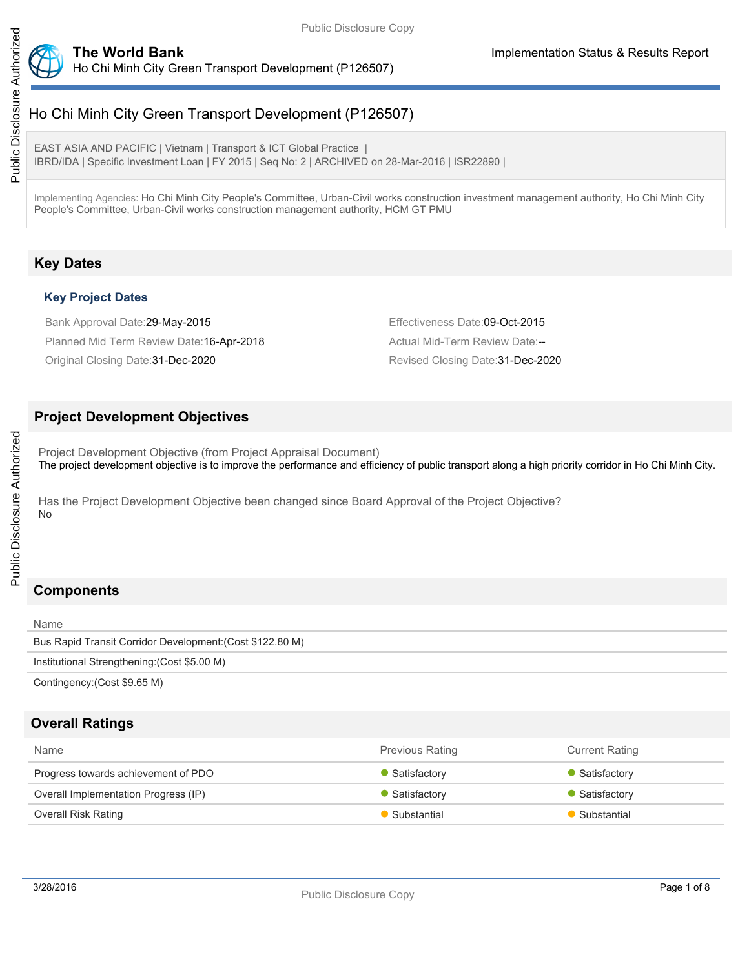

Ho Chi Minh City Green Transport Development (P126507)

EAST ASIA AND PACIFIC | Vietnam | Transport & ICT Global Practice | IBRD/IDA | Specific Investment Loan | FY 2015 | Seq No: 2 | ARCHIVED on 28-Mar-2016 | ISR22890 |

Implementing Agencies: Ho Chi Minh City People's Committee, Urban-Civil works construction investment management authority, Ho Chi Minh City People's Committee, Urban-Civil works construction management authority, HCM GT PMU

# **Key Dates**

# **Key Project Dates**

Bank Approval Date:29-May-2015 **Effectiveness Date:09-Oct-2015** Planned Mid Term Review Date: 16-Apr-2018 Actual Mid-Term Review Date:--Original Closing Date: 31-Dec-2020 **Revised Closing Date: 31-Dec-2020** Revised Closing Date: 31-Dec-2020

# **Project Development Objectives**

Project Development Objective (from Project Appraisal Document) The project development objective is to improve the performance and efficiency of public transport along a high priority corridor in Ho Chi Minh City.

Has the Project Development Objective been changed since Board Approval of the Project Objective? No

# **Components**

Public Disclosure Authorized

Public Disclosure Authorized

| Name                                                      |
|-----------------------------------------------------------|
| Bus Rapid Transit Corridor Development: (Cost \$122.80 M) |
| Institutional Strengthening: (Cost \$5.00 M)              |
| Contingency: (Cost \$9.65 M)                              |

# **Overall Ratings**

| Name                                 | <b>Previous Rating</b> | <b>Current Rating</b> |
|--------------------------------------|------------------------|-----------------------|
| Progress towards achievement of PDO  | Satisfactory           | • Satisfactory        |
| Overall Implementation Progress (IP) | Satisfactory           | • Satisfactory        |
| <b>Overall Risk Rating</b>           | Substantial            | Substantial           |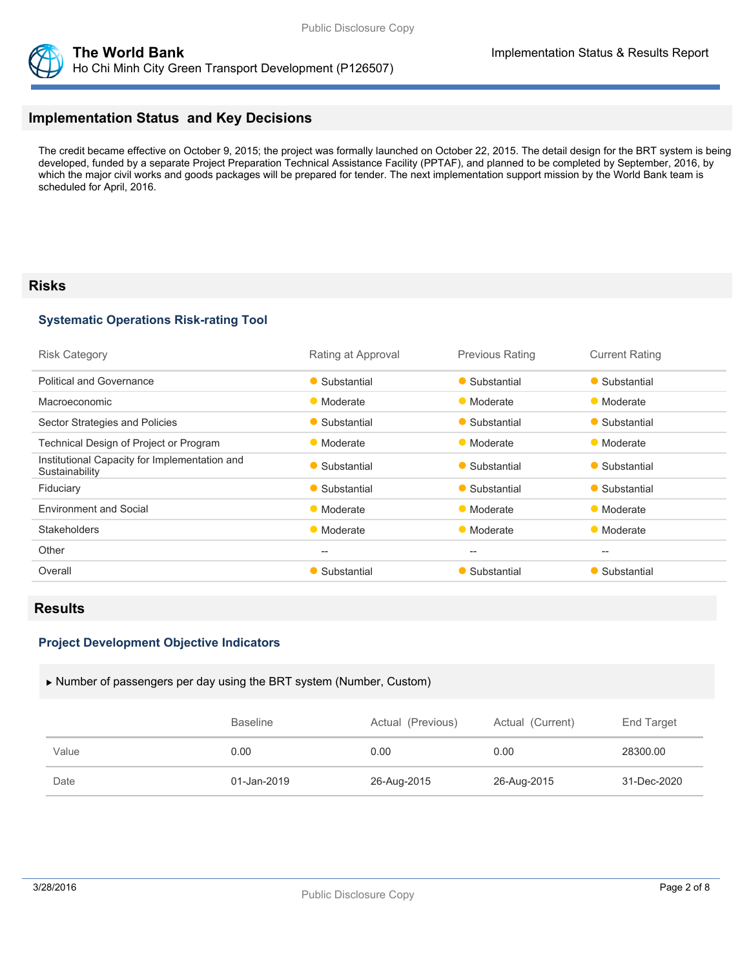



# **Implementation Status and Key Decisions**

The credit became effective on October 9, 2015; the project was formally launched on October 22, 2015. The detail design for the BRT system is being developed, funded by a separate Project Preparation Technical Assistance Facility (PPTAF), and planned to be completed by September, 2016, by which the major civil works and goods packages will be prepared for tender. The next implementation support mission by the World Bank team is scheduled for April, 2016.

# **Risks**

# **Systematic Operations Risk-rating Tool**

| <b>Risk Category</b>                                            | Rating at Approval | <b>Previous Rating</b> | <b>Current Rating</b> |
|-----------------------------------------------------------------|--------------------|------------------------|-----------------------|
| <b>Political and Governance</b>                                 | • Substantial      | • Substantial          | • Substantial         |
| Macroeconomic                                                   | • Moderate         | • Moderate             | • Moderate            |
| Sector Strategies and Policies                                  | • Substantial      | • Substantial          | • Substantial         |
| Technical Design of Project or Program                          | • Moderate         | • Moderate             | • Moderate            |
| Institutional Capacity for Implementation and<br>Sustainability | • Substantial      | • Substantial          | • Substantial         |
| Fiduciary                                                       | • Substantial      | • Substantial          | • Substantial         |
| <b>Environment and Social</b>                                   | • Moderate         | • Moderate             | • Moderate            |
| <b>Stakeholders</b>                                             | • Moderate         | • Moderate             | • Moderate            |
| Other                                                           | --                 | --                     | $-$                   |
| Overall                                                         | • Substantial      | • Substantial          | Substantial           |
|                                                                 |                    |                        |                       |

# **Results**

## **Project Development Objective Indicators**

#### Number of passengers per day using the BRT system (Number, Custom)

|       | <b>Baseline</b> | Actual (Previous) | Actual (Current) | End Target  |
|-------|-----------------|-------------------|------------------|-------------|
| Value | 0.00            | 0.00              | 0.00             | 28300.00    |
| Date  | 01-Jan-2019     | 26-Aug-2015       | 26-Aug-2015      | 31-Dec-2020 |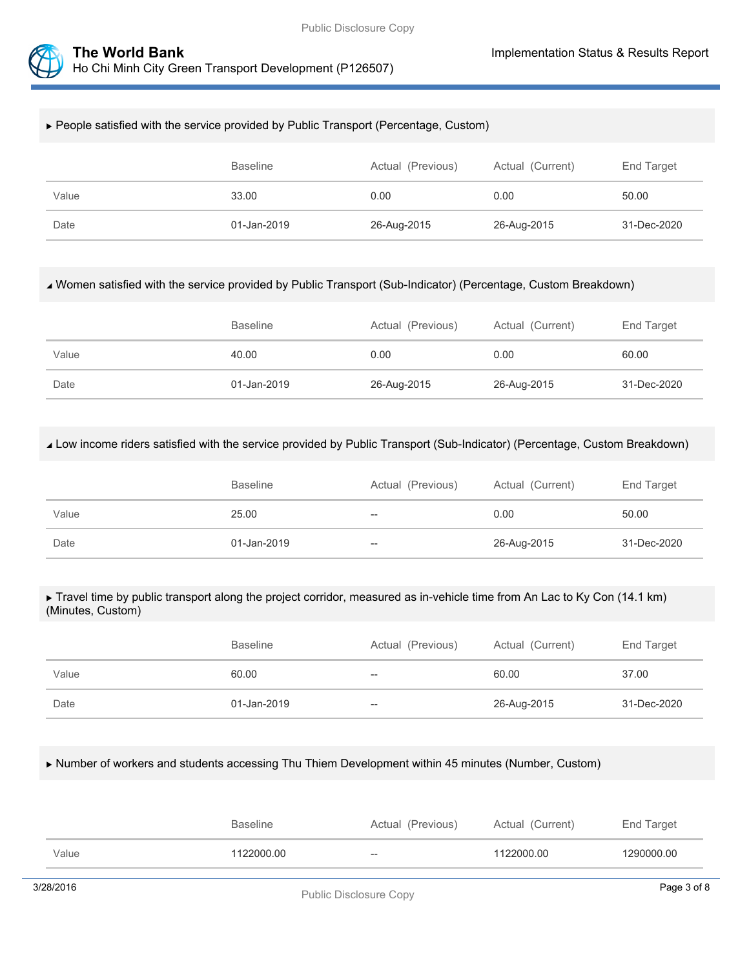

# People satisfied with the service provided by Public Transport (Percentage, Custom)

|       | <b>Baseline</b> | Actual (Previous) | Actual (Current) | End Target  |
|-------|-----------------|-------------------|------------------|-------------|
| Value | 33.00           | 0.00              | 0.00             | 50.00       |
| Date  | 01-Jan-2019     | 26-Aug-2015       | 26-Aug-2015      | 31-Dec-2020 |

## Women satisfied with the service provided by Public Transport (Sub-Indicator) (Percentage, Custom Breakdown)

|       | <b>Baseline</b> | Actual (Previous) | Actual (Current) | End Target  |
|-------|-----------------|-------------------|------------------|-------------|
| Value | 40.00           | 0.00              | 0.00             | 60.00       |
| Date  | 01-Jan-2019     | 26-Aug-2015       | 26-Aug-2015      | 31-Dec-2020 |

## Low income riders satisfied with the service provided by Public Transport (Sub-Indicator) (Percentage, Custom Breakdown)

|       | <b>Baseline</b> | Actual (Previous) | Actual (Current) | End Target  |
|-------|-----------------|-------------------|------------------|-------------|
| Value | 25.00           | $- -$             | 0.00             | 50.00       |
| Date  | 01-Jan-2019     | $- -$             | 26-Aug-2015      | 31-Dec-2020 |

#### ▶ Travel time by public transport along the project corridor, measured as in-vehicle time from An Lac to Ky Con (14.1 km) (Minutes, Custom)

|       | <b>Baseline</b> | Actual (Previous) | Actual (Current) | End Target  |
|-------|-----------------|-------------------|------------------|-------------|
| Value | 60.00           | $- -$             | 60.00            | 37.00       |
| Date  | 01-Jan-2019     | $- -$             | 26-Aug-2015      | 31-Dec-2020 |

## Number of workers and students accessing Thu Thiem Development within 45 minutes (Number, Custom)

|       | <b>Baseline</b> | Actual (Previous) | Actual (Current) | End Target |
|-------|-----------------|-------------------|------------------|------------|
| Value | 1122000.00      | $- -$             | 1122000.00       | 1290000.00 |
|       |                 |                   |                  |            |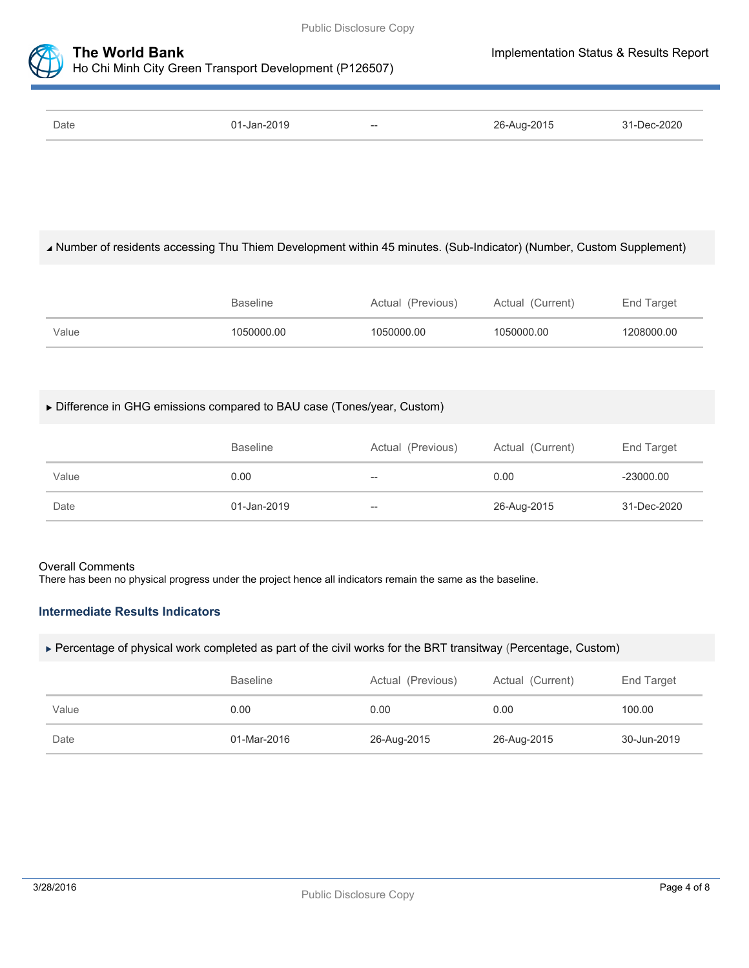

| Date | $01 - Jan - 2019$ | $- -$ | 26-Aug-2015 | $31 - Dec - 2020$ |
|------|-------------------|-------|-------------|-------------------|

# Number of residents accessing Thu Thiem Development within 45 minutes. (Sub-Indicator) (Number, Custom Supplement)

|       | <b>Baseline</b> | Actual (Previous) | Actual (Current) | End Target |
|-------|-----------------|-------------------|------------------|------------|
| Value | 1050000.00      | 1050000.00        | 1050000.00       | 1208000.00 |

# Difference in GHG emissions compared to BAU case (Tones/year, Custom)

|       | <b>Baseline</b> | Actual (Previous)        | Actual (Current) | End Target  |
|-------|-----------------|--------------------------|------------------|-------------|
| Value | 0.00            | $\overline{\phantom{m}}$ | 0.00             | $-23000.00$ |
| Date  | 01-Jan-2019     | $\overline{\phantom{m}}$ | 26-Aug-2015      | 31-Dec-2020 |

# Overall Comments

There has been no physical progress under the project hence all indicators remain the same as the baseline.

# **Intermediate Results Indicators**

Percentage of physical work completed as part of the civil works for the BRT transitway (Percentage, Custom)

|       | <b>Baseline</b> | Actual (Previous) | Actual (Current) | End Target  |
|-------|-----------------|-------------------|------------------|-------------|
| Value | 0.00            | 0.00              | 0.00             | 100.00      |
| Date  | 01-Mar-2016     | 26-Aug-2015       | 26-Aug-2015      | 30-Jun-2019 |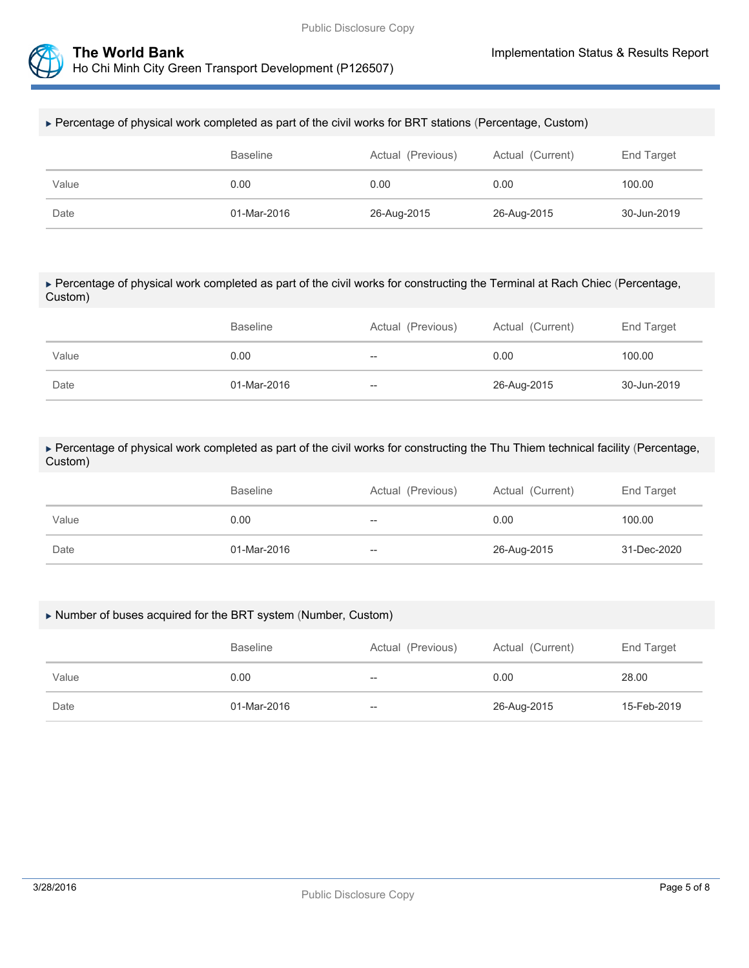



## Percentage of physical work completed as part of the civil works for BRT stations (Percentage, Custom)

|       | Baseline    | Actual (Previous) | Actual (Current) | End Target  |
|-------|-------------|-------------------|------------------|-------------|
| Value | 0.00        | 0.00              | 0.00             | 100.00      |
| Date  | 01-Mar-2016 | 26-Aug-2015       | 26-Aug-2015      | 30-Jun-2019 |

## Percentage of physical work completed as part of the civil works for constructing the Terminal at Rach Chiec (Percentage, Custom)

|       | <b>Baseline</b> | Actual (Previous) | Actual (Current) | End Target  |
|-------|-----------------|-------------------|------------------|-------------|
| Value | 0.00            | $-$               | 0.00             | 100.00      |
| Date  | 01-Mar-2016     | $- -$             | 26-Aug-2015      | 30-Jun-2019 |

 Percentage of physical work completed as part of the civil works for constructing the Thu Thiem technical facility (Percentage, Custom)

|       | <b>Baseline</b> | Actual (Previous) | Actual (Current) | End Target  |
|-------|-----------------|-------------------|------------------|-------------|
| Value | 0.00            | --                | 0.00             | 100.00      |
| Date  | 01-Mar-2016     | --                | 26-Aug-2015      | 31-Dec-2020 |

## Number of buses acquired for the BRT system (Number, Custom)

|       | <b>Baseline</b> | Actual (Previous) | Actual (Current) | End Target  |
|-------|-----------------|-------------------|------------------|-------------|
| Value | 0.00            | $- -$             | 0.00             | 28.00       |
| Date  | 01-Mar-2016     | $- -$             | 26-Aug-2015      | 15-Feb-2019 |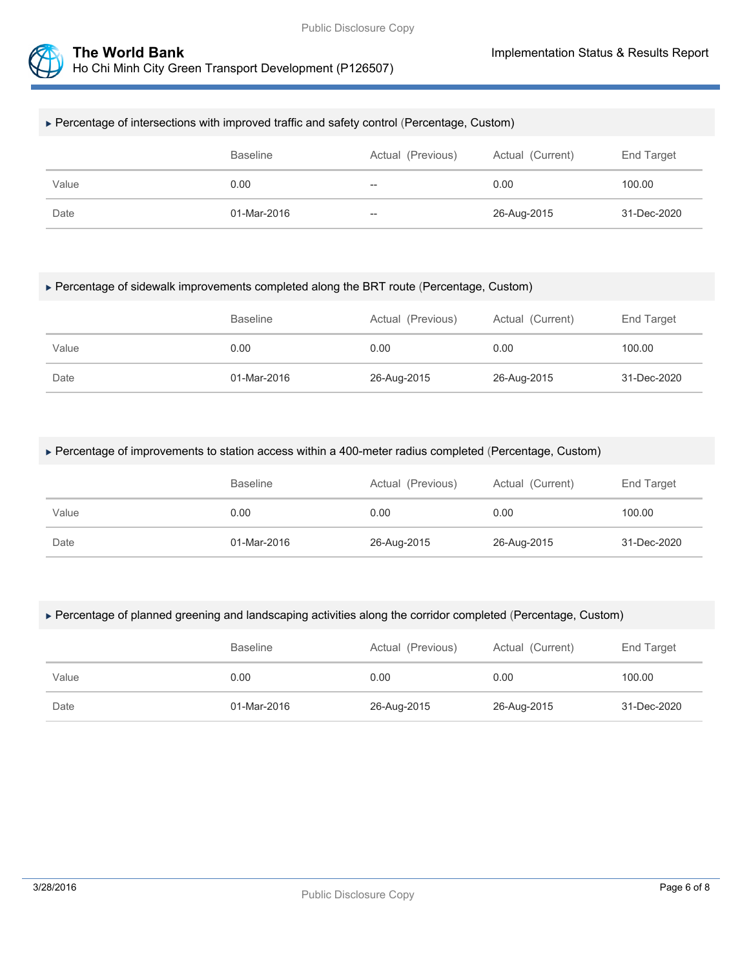

## Percentage of intersections with improved traffic and safety control (Percentage, Custom)

|       | Baseline    | Actual (Previous) | Actual (Current) | End Target  |
|-------|-------------|-------------------|------------------|-------------|
| Value | 0.00        | $-\!$             | 0.00             | 100.00      |
| Date  | 01-Mar-2016 | $- -$             | 26-Aug-2015      | 31-Dec-2020 |

## Percentage of sidewalk improvements completed along the BRT route (Percentage, Custom)

|       | <b>Baseline</b> | Actual (Previous) | Actual (Current) | End Target  |
|-------|-----------------|-------------------|------------------|-------------|
| Value | 0.00            | 0.00              | 0.00             | 100.00      |
| Date  | 01-Mar-2016     | 26-Aug-2015       | 26-Aug-2015      | 31-Dec-2020 |

## Percentage of improvements to station access within a 400-meter radius completed (Percentage, Custom)

|       | <b>Baseline</b> | Actual (Previous) | Actual (Current) | End Target  |
|-------|-----------------|-------------------|------------------|-------------|
| Value | 0.00            | 0.00              | 0.00             | 100.00      |
| Date  | 01-Mar-2016     | 26-Aug-2015       | 26-Aug-2015      | 31-Dec-2020 |

## Percentage of planned greening and landscaping activities along the corridor completed (Percentage, Custom)

|       | <b>Baseline</b> | Actual (Previous) | Actual (Current) | End Target  |
|-------|-----------------|-------------------|------------------|-------------|
| Value | 0.00            | 0.00              | 0.00             | 100.00      |
| Date  | 01-Mar-2016     | 26-Aug-2015       | 26-Aug-2015      | 31-Dec-2020 |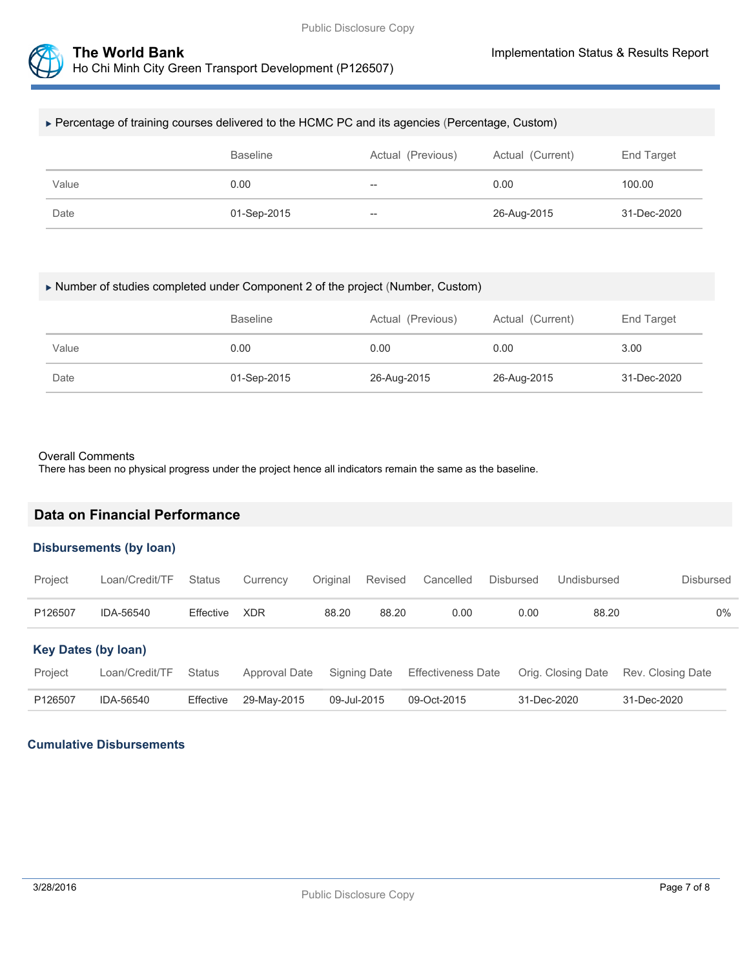



# Percentage of training courses delivered to the HCMC PC and its agencies (Percentage, Custom)

|       | <b>Baseline</b> | Actual (Previous) | Actual (Current) | End Target  |
|-------|-----------------|-------------------|------------------|-------------|
| Value | 0.00            | $\hspace{0.05cm}$ | 0.00             | 100.00      |
| Date  | 01-Sep-2015     | $- -$             | 26-Aug-2015      | 31-Dec-2020 |

## Number of studies completed under Component 2 of the project (Number, Custom)

|       | <b>Baseline</b> | Actual (Previous) | Actual (Current) | End Target  |
|-------|-----------------|-------------------|------------------|-------------|
| Value | 0.00            | 0.00              | 0.00             | 3.00        |
| Date  | 01-Sep-2015     | 26-Aug-2015       | 26-Aug-2015      | 31-Dec-2020 |

## Overall Comments

There has been no physical progress under the project hence all indicators remain the same as the baseline.

# **Data on Financial Performance**

## **Disbursements (by loan)**

| Project                    | Loan/Credit/TF | <b>Status</b> | Currency      | Original    | Revised      | Cancelled                 | <b>Disbursed</b> | Undisbursed        | <b>Disbursed</b>  |
|----------------------------|----------------|---------------|---------------|-------------|--------------|---------------------------|------------------|--------------------|-------------------|
| P126507                    | IDA-56540      | Effective     | <b>XDR</b>    | 88.20       | 88.20        | 0.00                      | 0.00             | 88.20              | $0\%$             |
| <b>Key Dates (by loan)</b> |                |               |               |             |              |                           |                  |                    |                   |
| Project                    | Loan/Credit/TF | <b>Status</b> | Approval Date |             | Signing Date | <b>Effectiveness Date</b> |                  | Orig. Closing Date | Rev. Closing Date |
| P126507                    | IDA-56540      | Effective     | 29-May-2015   | 09-Jul-2015 |              | 09-Oct-2015               |                  | 31-Dec-2020        | 31-Dec-2020       |

## **Cumulative Disbursements**